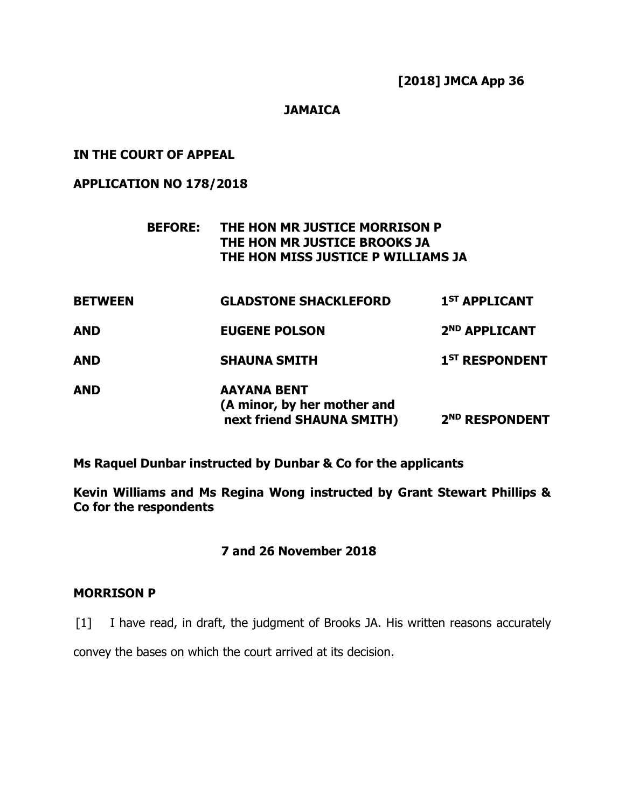# **JAMAICA**

### **IN THE COURT OF APPEAL**

# **APPLICATION NO 178/2018**

# **BEFORE: THE HON MR JUSTICE MORRISON P THE HON MR JUSTICE BROOKS JA THE HON MISS JUSTICE P WILLIAMS JA**

| <b>BETWEEN</b> | <b>GLADSTONE SHACKLEFORD</b>                                                   | 1 <sup>ST</sup> APPLICANT  |
|----------------|--------------------------------------------------------------------------------|----------------------------|
| <b>AND</b>     | <b>EUGENE POLSON</b>                                                           | 2 <sup>ND</sup> APPLICANT  |
| <b>AND</b>     | <b>SHAUNA SMITH</b>                                                            | 1 <sup>ST</sup> RESPONDENT |
| <b>AND</b>     | <b>AAYANA BENT</b><br>(A minor, by her mother and<br>next friend SHAUNA SMITH) | 2 <sup>ND</sup> RESPONDENT |

**Ms Raquel Dunbar instructed by Dunbar & Co for the applicants**

**Kevin Williams and Ms Regina Wong instructed by Grant Stewart Phillips & Co for the respondents**

# **7 and 26 November 2018**

### **MORRISON P**

[1] I have read, in draft, the judgment of Brooks JA. His written reasons accurately

convey the bases on which the court arrived at its decision.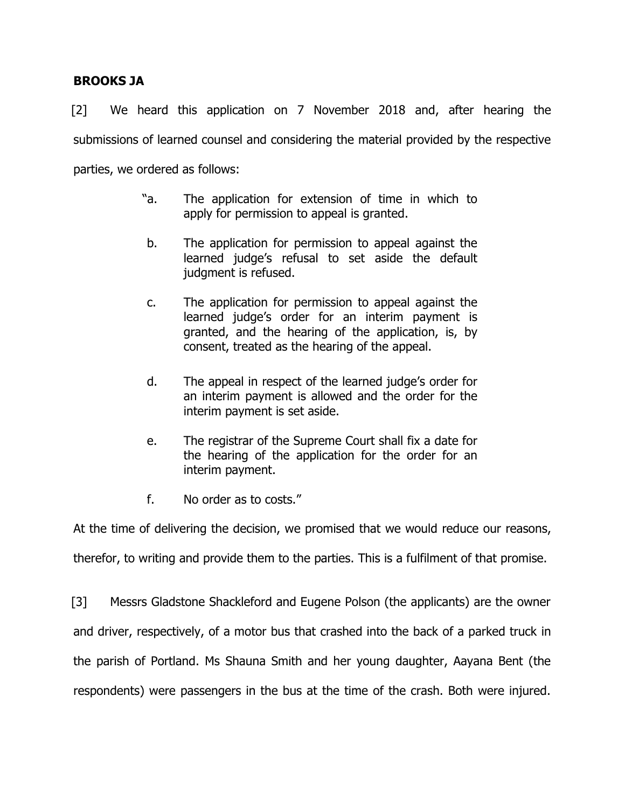# **BROOKS JA**

[2] We heard this application on 7 November 2018 and, after hearing the submissions of learned counsel and considering the material provided by the respective parties, we ordered as follows:

- "a. The application for extension of time in which to apply for permission to appeal is granted.
- b. The application for permission to appeal against the learned judge's refusal to set aside the default judgment is refused.
- c. The application for permission to appeal against the learned judge's order for an interim payment is granted, and the hearing of the application, is, by consent, treated as the hearing of the appeal.
- d. The appeal in respect of the learned judge's order for an interim payment is allowed and the order for the interim payment is set aside.
- e. The registrar of the Supreme Court shall fix a date for the hearing of the application for the order for an interim payment.
- f. No order as to costs."

At the time of delivering the decision, we promised that we would reduce our reasons, therefor, to writing and provide them to the parties. This is a fulfilment of that promise.

[3] Messrs Gladstone Shackleford and Eugene Polson (the applicants) are the owner and driver, respectively, of a motor bus that crashed into the back of a parked truck in the parish of Portland. Ms Shauna Smith and her young daughter, Aayana Bent (the respondents) were passengers in the bus at the time of the crash. Both were injured.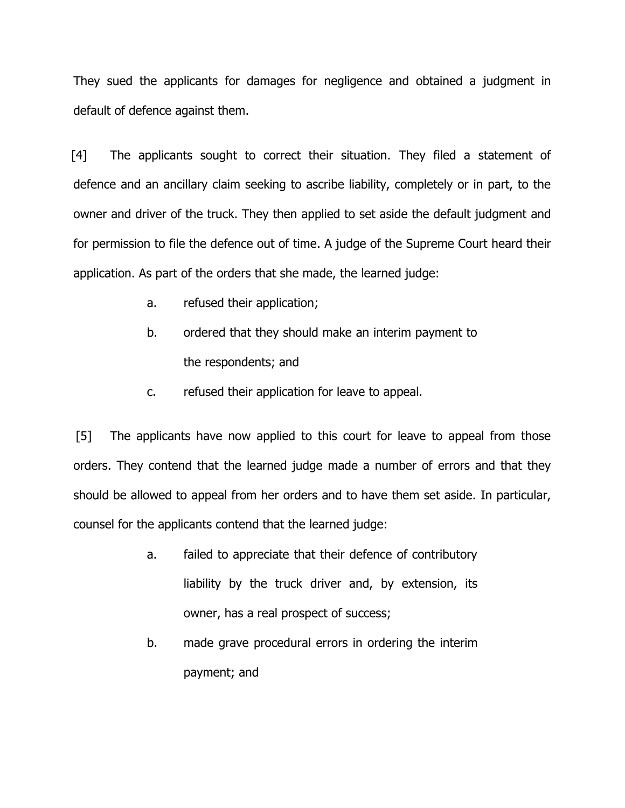They sued the applicants for damages for negligence and obtained a judgment in default of defence against them.

[4] The applicants sought to correct their situation. They filed a statement of defence and an ancillary claim seeking to ascribe liability, completely or in part, to the owner and driver of the truck. They then applied to set aside the default judgment and for permission to file the defence out of time. A judge of the Supreme Court heard their application. As part of the orders that she made, the learned judge:

- a. refused their application;
- b. ordered that they should make an interim payment to the respondents; and
- c. refused their application for leave to appeal.

[5] The applicants have now applied to this court for leave to appeal from those orders. They contend that the learned judge made a number of errors and that they should be allowed to appeal from her orders and to have them set aside. In particular, counsel for the applicants contend that the learned judge:

- a. failed to appreciate that their defence of contributory liability by the truck driver and, by extension, its owner, has a real prospect of success;
- b. made grave procedural errors in ordering the interim payment; and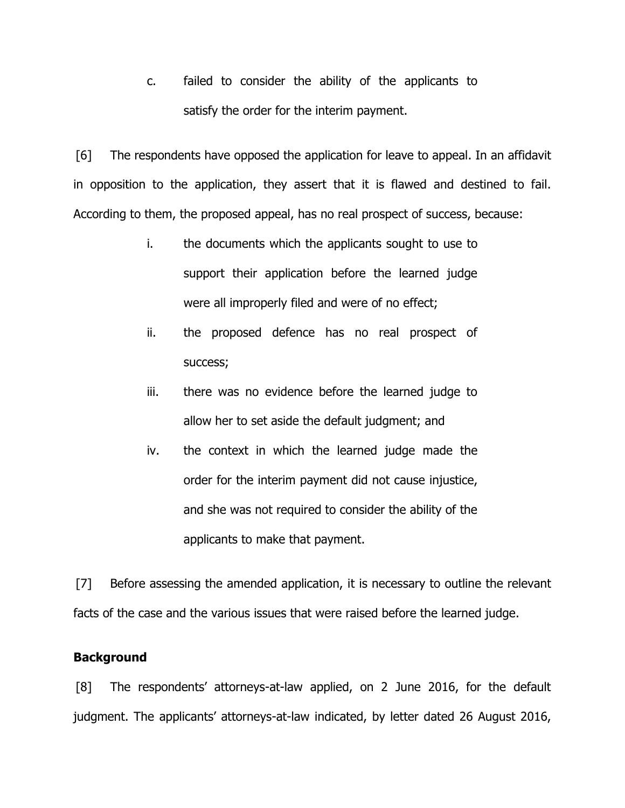c. failed to consider the ability of the applicants to satisfy the order for the interim payment.

[6] The respondents have opposed the application for leave to appeal. In an affidavit in opposition to the application, they assert that it is flawed and destined to fail. According to them, the proposed appeal, has no real prospect of success, because:

- i. the documents which the applicants sought to use to support their application before the learned judge were all improperly filed and were of no effect;
- ii. the proposed defence has no real prospect of success;
- iii. there was no evidence before the learned judge to allow her to set aside the default judgment; and
- iv. the context in which the learned judge made the order for the interim payment did not cause injustice, and she was not required to consider the ability of the applicants to make that payment.

[7] Before assessing the amended application, it is necessary to outline the relevant facts of the case and the various issues that were raised before the learned judge.

### **Background**

[8] The respondents' attorneys-at-law applied, on 2 June 2016, for the default judgment. The applicants' attorneys-at-law indicated, by letter dated 26 August 2016,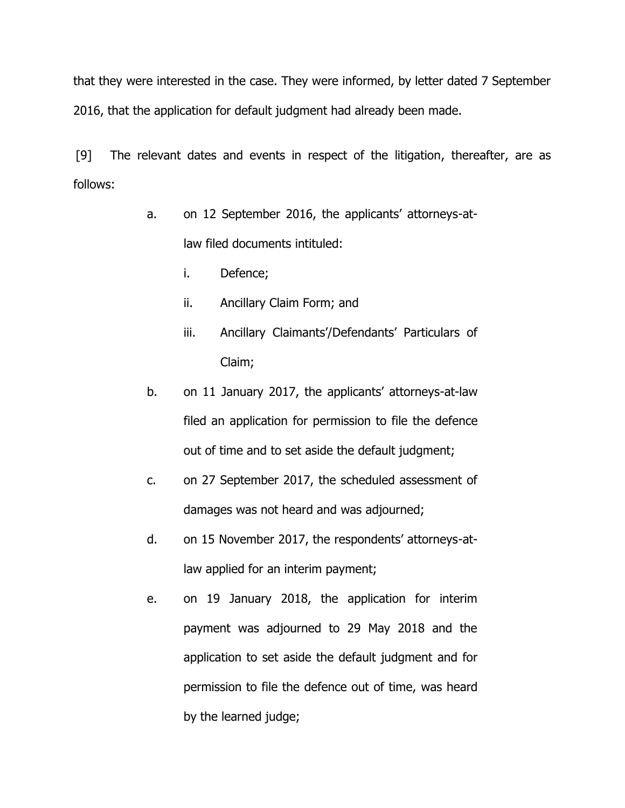that they were interested in the case. They were informed, by letter dated 7 September 2016, that the application for default judgment had already been made.

[9] The relevant dates and events in respect of the litigation, thereafter, are as follows:

- a. on 12 September 2016, the applicants' attorneys-atlaw filed documents intituled:
	- i. Defence;
	- ii. Ancillary Claim Form; and
	- iii. Ancillary Claimants'/Defendants' Particulars of Claim;
- b. on 11 January 2017, the applicants' attorneys-at-law filed an application for permission to file the defence out of time and to set aside the default judgment;
- c. on 27 September 2017, the scheduled assessment of damages was not heard and was adjourned;
- d. on 15 November 2017, the respondents' attorneys-atlaw applied for an interim payment;
- e. on 19 January 2018, the application for interim payment was adjourned to 29 May 2018 and the application to set aside the default judgment and for permission to file the defence out of time, was heard by the learned judge;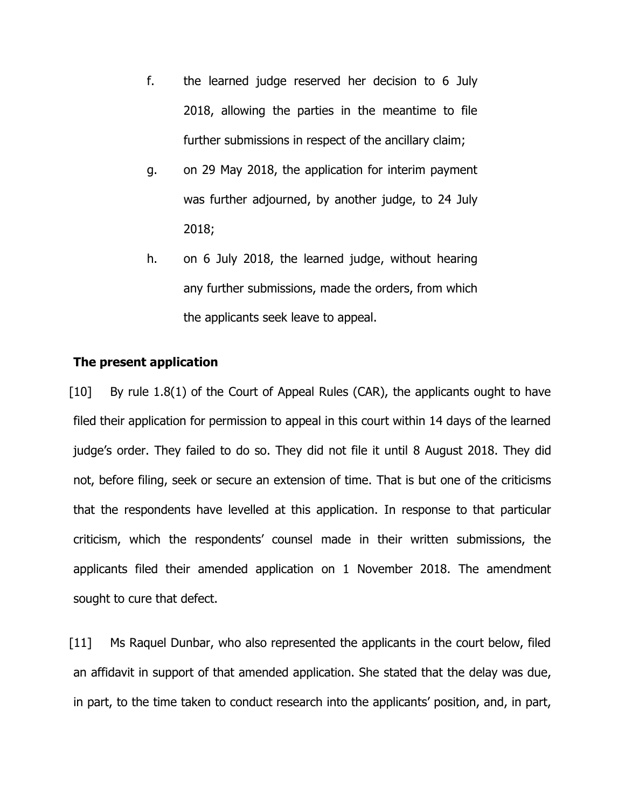- f. the learned judge reserved her decision to 6 July 2018, allowing the parties in the meantime to file further submissions in respect of the ancillary claim;
- g. on 29 May 2018, the application for interim payment was further adjourned, by another judge, to 24 July 2018;
- h. on 6 July 2018, the learned judge, without hearing any further submissions, made the orders, from which the applicants seek leave to appeal.

### **The present application**

[10] By rule 1.8(1) of the Court of Appeal Rules (CAR), the applicants ought to have filed their application for permission to appeal in this court within 14 days of the learned judge's order. They failed to do so. They did not file it until 8 August 2018. They did not, before filing, seek or secure an extension of time. That is but one of the criticisms that the respondents have levelled at this application. In response to that particular criticism, which the respondents' counsel made in their written submissions, the applicants filed their amended application on 1 November 2018. The amendment sought to cure that defect.

[11] Ms Raquel Dunbar, who also represented the applicants in the court below, filed an affidavit in support of that amended application. She stated that the delay was due, in part, to the time taken to conduct research into the applicants' position, and, in part,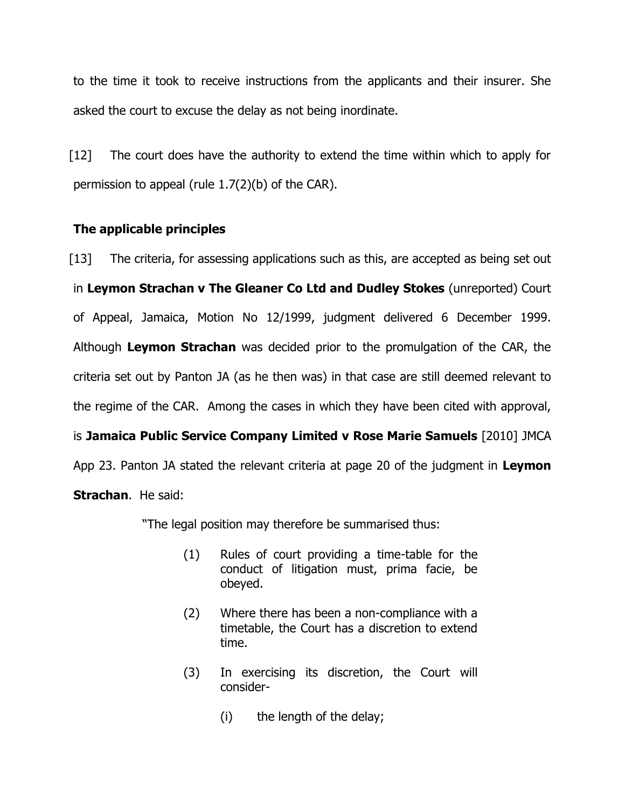to the time it took to receive instructions from the applicants and their insurer. She asked the court to excuse the delay as not being inordinate.

[12] The court does have the authority to extend the time within which to apply for permission to appeal (rule 1.7(2)(b) of the CAR).

# **The applicable principles**

[13] The criteria, for assessing applications such as this, are accepted as being set out in **Leymon Strachan v The Gleaner Co Ltd and Dudley Stokes** (unreported) Court of Appeal, Jamaica, Motion No 12/1999, judgment delivered 6 December 1999. Although **Leymon Strachan** was decided prior to the promulgation of the CAR, the criteria set out by Panton JA (as he then was) in that case are still deemed relevant to the regime of the CAR. Among the cases in which they have been cited with approval, is **Jamaica Public Service Company Limited v Rose Marie Samuels** [2010] JMCA App 23. Panton JA stated the relevant criteria at page 20 of the judgment in **Leymon Strachan**. He said:

"The legal position may therefore be summarised thus:

- (1) Rules of court providing a time-table for the conduct of litigation must, prima facie, be obeyed.
- (2) Where there has been a non-compliance with a timetable, the Court has a discretion to extend time.
- (3) In exercising its discretion, the Court will consider-
	- (i) the length of the delay;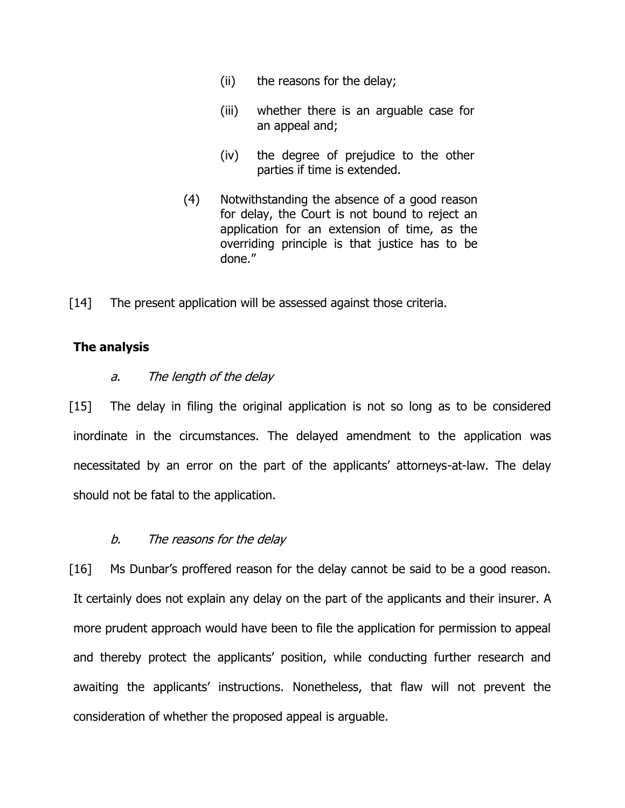- (ii) the reasons for the delay;
- (iii) whether there is an arguable case for an appeal and;
- (iv) the degree of prejudice to the other parties if time is extended.
- (4) Notwithstanding the absence of a good reason for delay, the Court is not bound to reject an application for an extension of time, as the overriding principle is that justice has to be done."
- [14] The present application will be assessed against those criteria.

#### **The analysis**

#### a. The length of the delay

[15] The delay in filing the original application is not so long as to be considered inordinate in the circumstances. The delayed amendment to the application was necessitated by an error on the part of the applicants' attorneys-at-law. The delay should not be fatal to the application.

#### b. The reasons for the delay

[16] Ms Dunbar's proffered reason for the delay cannot be said to be a good reason. It certainly does not explain any delay on the part of the applicants and their insurer. A more prudent approach would have been to file the application for permission to appeal and thereby protect the applicants' position, while conducting further research and awaiting the applicants' instructions. Nonetheless, that flaw will not prevent the consideration of whether the proposed appeal is arguable.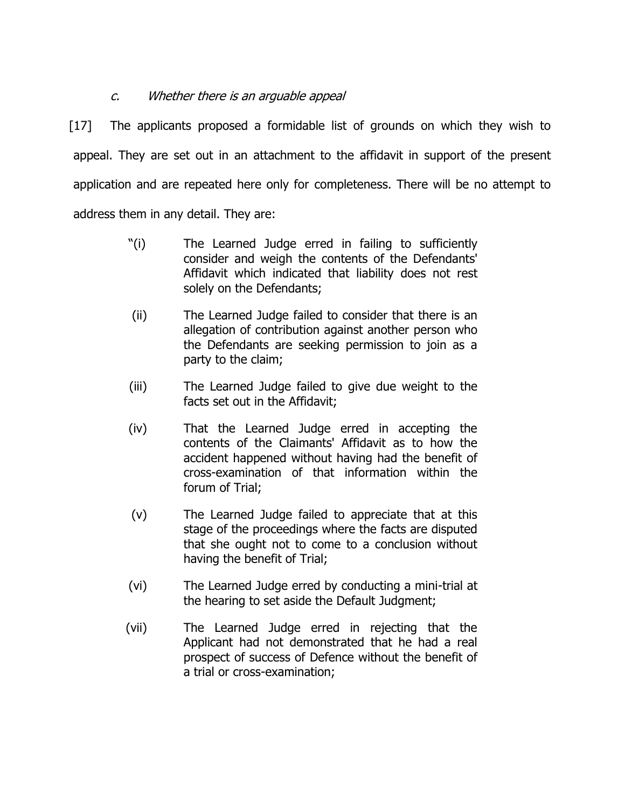# c. Whether there is an arguable appeal

[17] The applicants proposed a formidable list of grounds on which they wish to appeal. They are set out in an attachment to the affidavit in support of the present application and are repeated here only for completeness. There will be no attempt to address them in any detail. They are:

- "(i) The Learned Judge erred in failing to sufficiently consider and weigh the contents of the Defendants' Affidavit which indicated that liability does not rest solely on the Defendants;
- (ii) The Learned Judge failed to consider that there is an allegation of contribution against another person who the Defendants are seeking permission to join as a party to the claim;
- (iii) The Learned Judge failed to give due weight to the facts set out in the Affidavit;
- (iv) That the Learned Judge erred in accepting the contents of the Claimants' Affidavit as to how the accident happened without having had the benefit of cross-examination of that information within the forum of Trial;
- (v) The Learned Judge failed to appreciate that at this stage of the proceedings where the facts are disputed that she ought not to come to a conclusion without having the benefit of Trial;
- (vi) The Learned Judge erred by conducting a mini-trial at the hearing to set aside the Default Judgment;
- (vii) The Learned Judge erred in rejecting that the Applicant had not demonstrated that he had a real prospect of success of Defence without the benefit of a trial or cross-examination;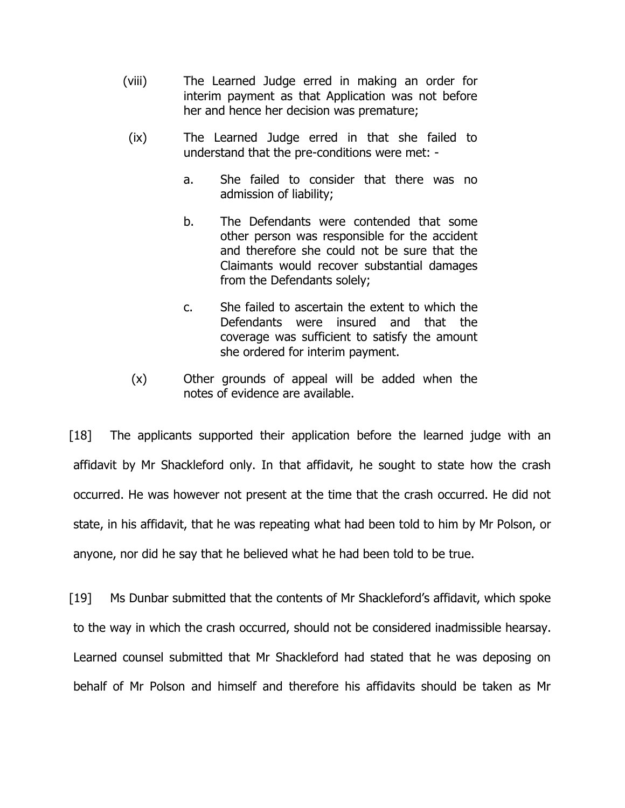- (viii) The Learned Judge erred in making an order for interim payment as that Application was not before her and hence her decision was premature;
- (ix) The Learned Judge erred in that she failed to understand that the pre-conditions were met:
	- a. She failed to consider that there was no admission of liability;
	- b. The Defendants were contended that some other person was responsible for the accident and therefore she could not be sure that the Claimants would recover substantial damages from the Defendants solely;
	- c. She failed to ascertain the extent to which the Defendants were insured and that the coverage was sufficient to satisfy the amount she ordered for interim payment.
- (x) Other grounds of appeal will be added when the notes of evidence are available.

[18] The applicants supported their application before the learned judge with an affidavit by Mr Shackleford only. In that affidavit, he sought to state how the crash occurred. He was however not present at the time that the crash occurred. He did not state, in his affidavit, that he was repeating what had been told to him by Mr Polson, or anyone, nor did he say that he believed what he had been told to be true.

[19] Ms Dunbar submitted that the contents of Mr Shackleford's affidavit, which spoke to the way in which the crash occurred, should not be considered inadmissible hearsay. Learned counsel submitted that Mr Shackleford had stated that he was deposing on behalf of Mr Polson and himself and therefore his affidavits should be taken as Mr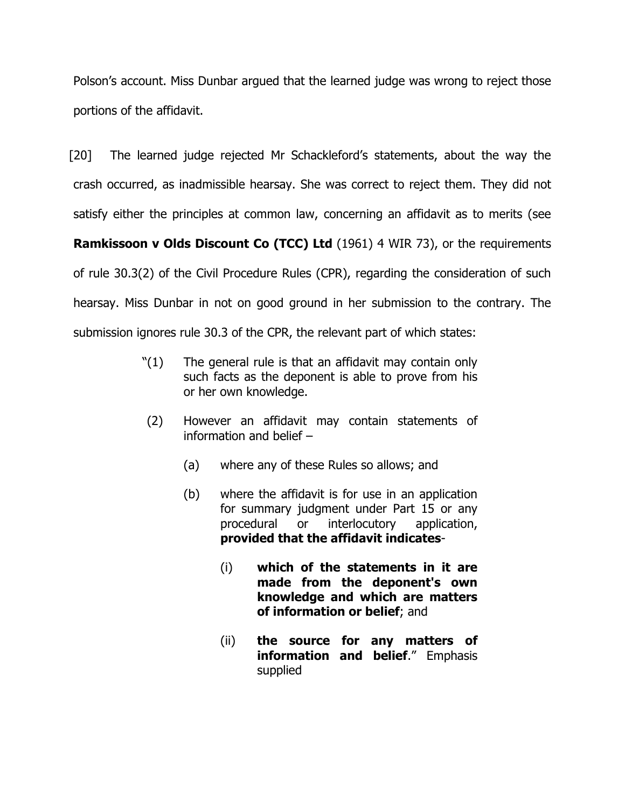Polson's account. Miss Dunbar argued that the learned judge was wrong to reject those portions of the affidavit.

[20] The learned judge rejected Mr Schackleford's statements, about the way the crash occurred, as inadmissible hearsay. She was correct to reject them. They did not

satisfy either the principles at common law, concerning an affidavit as to merits (see

**Ramkissoon v Olds Discount Co (TCC) Ltd** (1961) 4 WIR 73), or the requirements

of rule 30.3(2) of the Civil Procedure Rules (CPR), regarding the consideration of such hearsay. Miss Dunbar in not on good ground in her submission to the contrary. The submission ignores rule 30.3 of the CPR, the relevant part of which states:

- $'(1)$  The general rule is that an affidavit may contain only such facts as the deponent is able to prove from his or her own knowledge.
- (2) However an affidavit may contain statements of information and belief –
	- (a) where any of these Rules so allows; and
	- (b) where the affidavit is for use in an application for summary judgment under Part 15 or any procedural or interlocutory application, **provided that the affidavit indicates**-
		- (i) **which of the statements in it are made from the deponent's own knowledge and which are matters of information or belief**; and
		- (ii) **the source for any matters of information and belief**." Emphasis supplied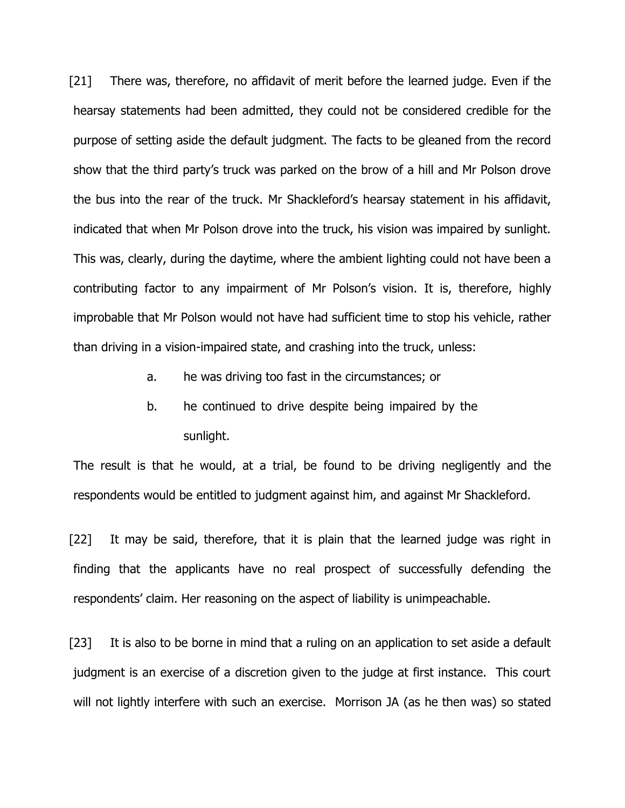[21] There was, therefore, no affidavit of merit before the learned judge. Even if the hearsay statements had been admitted, they could not be considered credible for the purpose of setting aside the default judgment. The facts to be gleaned from the record show that the third party's truck was parked on the brow of a hill and Mr Polson drove the bus into the rear of the truck. Mr Shackleford's hearsay statement in his affidavit, indicated that when Mr Polson drove into the truck, his vision was impaired by sunlight. This was, clearly, during the daytime, where the ambient lighting could not have been a contributing factor to any impairment of Mr Polson's vision. It is, therefore, highly improbable that Mr Polson would not have had sufficient time to stop his vehicle, rather than driving in a vision-impaired state, and crashing into the truck, unless:

- a. he was driving too fast in the circumstances; or
- b. he continued to drive despite being impaired by the sunlight.

The result is that he would, at a trial, be found to be driving negligently and the respondents would be entitled to judgment against him, and against Mr Shackleford.

[22] It may be said, therefore, that it is plain that the learned judge was right in finding that the applicants have no real prospect of successfully defending the respondents' claim. Her reasoning on the aspect of liability is unimpeachable.

[23] It is also to be borne in mind that a ruling on an application to set aside a default judgment is an exercise of a discretion given to the judge at first instance. This court will not lightly interfere with such an exercise. Morrison JA (as he then was) so stated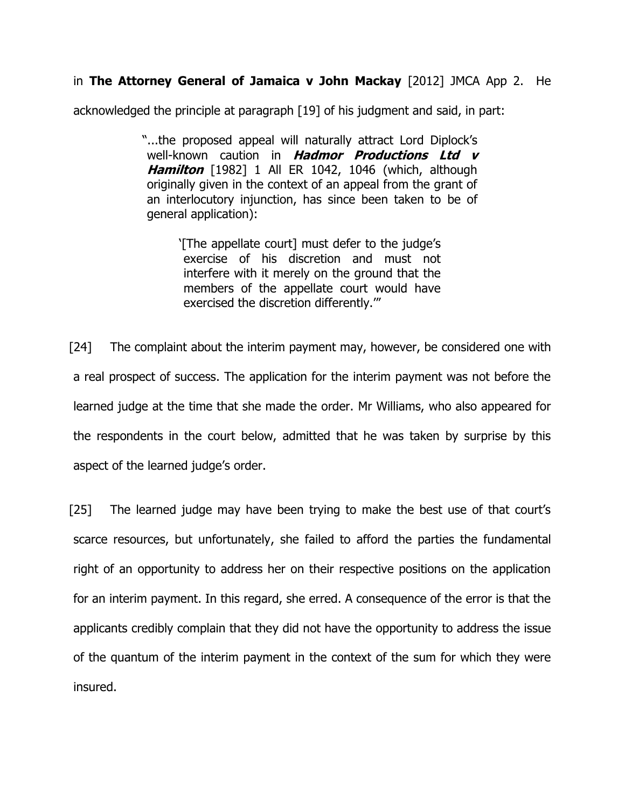# in **The Attorney General of Jamaica v John Mackay** [2012] JMCA App 2. He

acknowledged the principle at paragraph [19] of his judgment and said, in part:

"...the proposed appeal will naturally attract Lord Diplock's well-known caution in **Hadmor Productions Ltd <sup>v</sup> Hamilton** [1982] 1 All ER 1042, 1046 (which, although originally given in the context of an appeal from the grant of an interlocutory injunction, has since been taken to be of general application):

> '[The appellate court] must defer to the judge's exercise of his discretion and must not interfere with it merely on the ground that the members of the appellate court would have exercised the discretion differently.'"

[24] The complaint about the interim payment may, however, be considered one with a real prospect of success. The application for the interim payment was not before the learned judge at the time that she made the order. Mr Williams, who also appeared for the respondents in the court below, admitted that he was taken by surprise by this aspect of the learned judge's order.

[25] The learned judge may have been trying to make the best use of that court's scarce resources, but unfortunately, she failed to afford the parties the fundamental right of an opportunity to address her on their respective positions on the application for an interim payment. In this regard, she erred. A consequence of the error is that the applicants credibly complain that they did not have the opportunity to address the issue of the quantum of the interim payment in the context of the sum for which they were insured.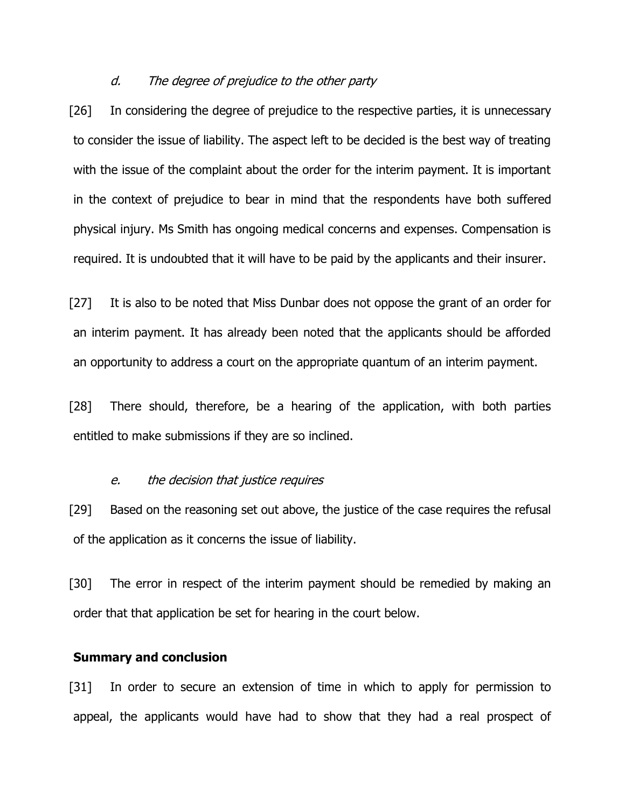#### d. The degree of prejudice to the other party

[26] In considering the degree of prejudice to the respective parties, it is unnecessary to consider the issue of liability. The aspect left to be decided is the best way of treating with the issue of the complaint about the order for the interim payment. It is important in the context of prejudice to bear in mind that the respondents have both suffered physical injury. Ms Smith has ongoing medical concerns and expenses. Compensation is required. It is undoubted that it will have to be paid by the applicants and their insurer.

[27] It is also to be noted that Miss Dunbar does not oppose the grant of an order for an interim payment. It has already been noted that the applicants should be afforded an opportunity to address a court on the appropriate quantum of an interim payment.

[28] There should, therefore, be a hearing of the application, with both parties entitled to make submissions if they are so inclined.

#### e. the decision that justice requires

[29] Based on the reasoning set out above, the justice of the case requires the refusal of the application as it concerns the issue of liability.

[30] The error in respect of the interim payment should be remedied by making an order that that application be set for hearing in the court below.

### **Summary and conclusion**

[31] In order to secure an extension of time in which to apply for permission to appeal, the applicants would have had to show that they had a real prospect of